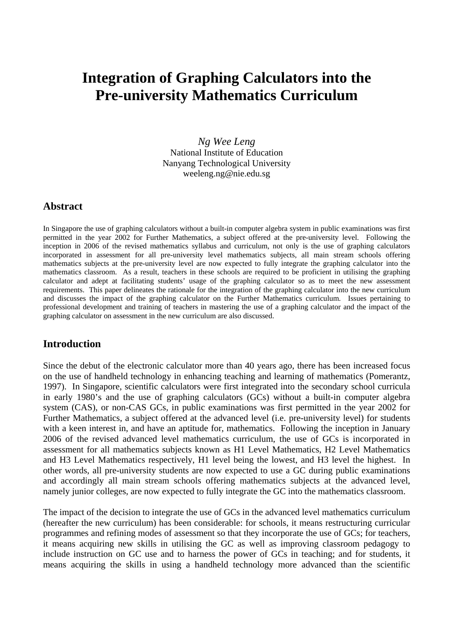# **Integration of Graphing Calculators into the Pre-university Mathematics Curriculum**

*Ng Wee Leng*  National Institute of Education Nanyang Technological University weeleng.ng@nie.edu.sg

## **Abstract**

In Singapore the use of graphing calculators without a built-in computer algebra system in public examinations was first permitted in the year 2002 for Further Mathematics, a subject offered at the pre-university level. Following the inception in 2006 of the revised mathematics syllabus and curriculum, not only is the use of graphing calculators incorporated in assessment for all pre-university level mathematics subjects, all main stream schools offering mathematics subjects at the pre-university level are now expected to fully integrate the graphing calculator into the mathematics classroom. As a result, teachers in these schools are required to be proficient in utilising the graphing calculator and adept at facilitating students' usage of the graphing calculator so as to meet the new assessment requirements. This paper delineates the rationale for the integration of the graphing calculator into the new curriculum and discusses the impact of the graphing calculator on the Further Mathematics curriculum. Issues pertaining to professional development and training of teachers in mastering the use of a graphing calculator and the impact of the graphing calculator on assessment in the new curriculum are also discussed.

## **Introduction**

Since the debut of the electronic calculator more than 40 years ago, there has been increased focus on the use of handheld technology in enhancing teaching and learning of mathematics (Pomerantz, 1997). In Singapore, scientific calculators were first integrated into the secondary school curricula in early 1980's and the use of graphing calculators (GCs) without a built-in computer algebra system (CAS), or non-CAS GCs, in public examinations was first permitted in the year 2002 for Further Mathematics, a subject offered at the advanced level (i.e. pre-university level) for students with a keen interest in, and have an aptitude for, mathematics. Following the inception in January 2006 of the revised advanced level mathematics curriculum, the use of GCs is incorporated in assessment for all mathematics subjects known as H1 Level Mathematics, H2 Level Mathematics and H3 Level Mathematics respectively, H1 level being the lowest, and H3 level the highest. In other words, all pre-university students are now expected to use a GC during public examinations and accordingly all main stream schools offering mathematics subjects at the advanced level, namely junior colleges, are now expected to fully integrate the GC into the mathematics classroom.

The impact of the decision to integrate the use of GCs in the advanced level mathematics curriculum (hereafter the new curriculum) has been considerable: for schools, it means restructuring curricular programmes and refining modes of assessment so that they incorporate the use of GCs; for teachers, it means acquiring new skills in utilising the GC as well as improving classroom pedagogy to include instruction on GC use and to harness the power of GCs in teaching; and for students, it means acquiring the skills in using a handheld technology more advanced than the scientific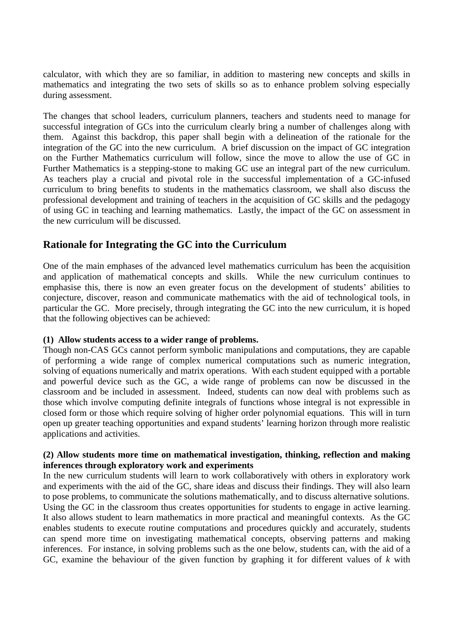calculator, with which they are so familiar, in addition to mastering new concepts and skills in mathematics and integrating the two sets of skills so as to enhance problem solving especially during assessment.

The changes that school leaders, curriculum planners, teachers and students need to manage for successful integration of GCs into the curriculum clearly bring a number of challenges along with them. Against this backdrop, this paper shall begin with a delineation of the rationale for the integration of the GC into the new curriculum. A brief discussion on the impact of GC integration on the Further Mathematics curriculum will follow, since the move to allow the use of GC in Further Mathematics is a stepping-stone to making GC use an integral part of the new curriculum. As teachers play a crucial and pivotal role in the successful implementation of a GC-infused curriculum to bring benefits to students in the mathematics classroom, we shall also discuss the professional development and training of teachers in the acquisition of GC skills and the pedagogy of using GC in teaching and learning mathematics. Lastly, the impact of the GC on assessment in the new curriculum will be discussed.

## **Rationale for Integrating the GC into the Curriculum**

One of the main emphases of the advanced level mathematics curriculum has been the acquisition and application of mathematical concepts and skills. While the new curriculum continues to emphasise this, there is now an even greater focus on the development of students' abilities to conjecture, discover, reason and communicate mathematics with the aid of technological tools, in particular the GC. More precisely, through integrating the GC into the new curriculum, it is hoped that the following objectives can be achieved:

## **(1) Allow students access to a wider range of problems.**

Though non-CAS GCs cannot perform symbolic manipulations and computations, they are capable of performing a wide range of complex numerical computations such as numeric integration, solving of equations numerically and matrix operations. With each student equipped with a portable and powerful device such as the GC, a wide range of problems can now be discussed in the classroom and be included in assessment. Indeed, students can now deal with problems such as those which involve computing definite integrals of functions whose integral is not expressible in closed form or those which require solving of higher order polynomial equations. This will in turn open up greater teaching opportunities and expand students' learning horizon through more realistic applications and activities.

#### **(2) Allow students more time on mathematical investigation, thinking, reflection and making inferences through exploratory work and experiments**

In the new curriculum students will learn to work collaboratively with others in exploratory work and experiments with the aid of the GC, share ideas and discuss their findings. They will also learn to pose problems, to communicate the solutions mathematically, and to discuss alternative solutions. Using the GC in the classroom thus creates opportunities for students to engage in active learning. It also allows student to learn mathematics in more practical and meaningful contexts. As the GC enables students to execute routine computations and procedures quickly and accurately, students can spend more time on investigating mathematical concepts, observing patterns and making inferences. For instance, in solving problems such as the one below, students can, with the aid of a GC, examine the behaviour of the given function by graphing it for different values of *k* with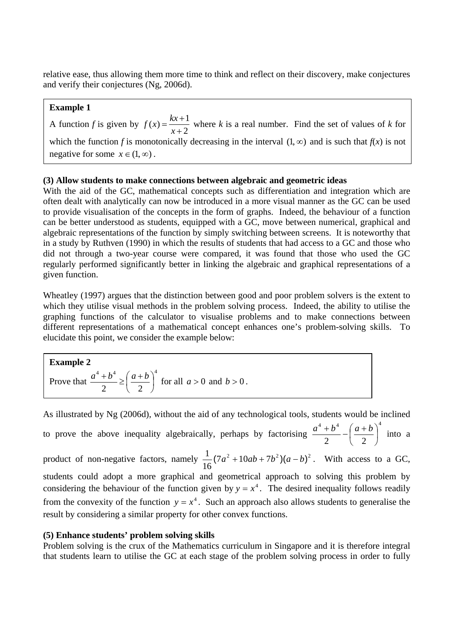relative ease, thus allowing them more time to think and reflect on their discovery, make conjectures and verify their conjectures (Ng, 2006d).

## **Example 1**

A function *f* is given by  $f(x) = \frac{kx+1}{x+2}$  $f(x) = \frac{kx+1}{x+2}$  where *k* is a real number. Find the set of values of *k* for which the function *f* is monotonically decreasing in the interval  $(1, \infty)$  and is such that  $f(x)$  is not negative for some  $x \in (1, \infty)$ .

## **(3) Allow students to make connections between algebraic and geometric ideas**

With the aid of the GC, mathematical concepts such as differentiation and integration which are often dealt with analytically can now be introduced in a more visual manner as the GC can be used to provide visualisation of the concepts in the form of graphs. Indeed, the behaviour of a function can be better understood as students, equipped with a GC, move between numerical, graphical and algebraic representations of the function by simply switching between screens. It is noteworthy that in a study by Ruthven (1990) in which the results of students that had access to a GC and those who did not through a two-year course were compared, it was found that those who used the GC regularly performed significantly better in linking the algebraic and graphical representations of a given function.

Wheatley (1997) argues that the distinction between good and poor problem solvers is the extent to which they utilise visual methods in the problem solving process. Indeed, the ability to utilise the graphing functions of the calculator to visualise problems and to make connections between different representations of a mathematical concept enhances one's problem-solving skills. To elucidate this point, we consider the example below:

**Example 2** Prove that 4  $4^{4}$   $(a+b)^4$  $\frac{1}{2} \geq \left(\frac{a+b}{2}\right)$  $\left(\frac{a+b}{2}\right)$ ⎝  $\frac{a^4 + b^4}{2} \ge \left(\frac{a+b}{2}\right)^4$  for all  $a > 0$  and  $b > 0$ .

As illustrated by Ng (2006d), without the aid of any technological tools, students would be inclined to prove the above inequality algebraically, perhaps by factorising 4  $4^{4}$   $(a+b)^4$  $\frac{1}{2} - \left(\frac{a+b}{2}\right)$  $\left(\frac{a+b}{2}\right)$ ⎝  $\left(\frac{a^4 + b^4}{2}\right)^4$  -  $\left(\frac{a+b}{2}\right)^4$  into a product of non-negative factors, namely  $\frac{1}{\sqrt{a^2 + 10ab + 7b^2}}(a-b)^2$ 16  $\frac{1}{2}(7a^2+10ab+7b^2)(a-b)^2$ . With access to a GC, students could adopt a more graphical and geometrical approach to solving this problem by considering the behaviour of the function given by  $y = x^4$ . The desired inequality follows readily from the convexity of the function  $y = x^4$ . Such an approach also allows students to generalise the result by considering a similar property for other convex functions.

## **(5) Enhance students' problem solving skills**

Problem solving is the crux of the Mathematics curriculum in Singapore and it is therefore integral that students learn to utilise the GC at each stage of the problem solving process in order to fully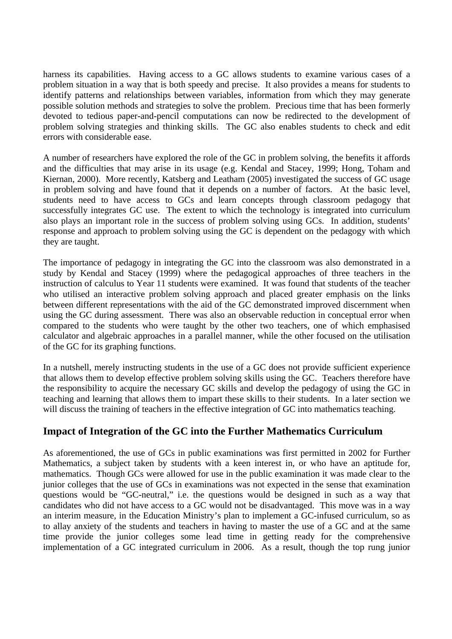harness its capabilities. Having access to a GC allows students to examine various cases of a problem situation in a way that is both speedy and precise. It also provides a means for students to identify patterns and relationships between variables, information from which they may generate possible solution methods and strategies to solve the problem. Precious time that has been formerly devoted to tedious paper-and-pencil computations can now be redirected to the development of problem solving strategies and thinking skills. The GC also enables students to check and edit errors with considerable ease.

A number of researchers have explored the role of the GC in problem solving, the benefits it affords and the difficulties that may arise in its usage (e.g. Kendal and Stacey, 1999; Hong, Toham and Kiernan, 2000). More recently, Katsberg and Leatham (2005) investigated the success of GC usage in problem solving and have found that it depends on a number of factors. At the basic level, students need to have access to GCs and learn concepts through classroom pedagogy that successfully integrates GC use. The extent to which the technology is integrated into curriculum also plays an important role in the success of problem solving using GCs. In addition, students' response and approach to problem solving using the GC is dependent on the pedagogy with which they are taught.

The importance of pedagogy in integrating the GC into the classroom was also demonstrated in a study by Kendal and Stacey (1999) where the pedagogical approaches of three teachers in the instruction of calculus to Year 11 students were examined. It was found that students of the teacher who utilised an interactive problem solving approach and placed greater emphasis on the links between different representations with the aid of the GC demonstrated improved discernment when using the GC during assessment. There was also an observable reduction in conceptual error when compared to the students who were taught by the other two teachers, one of which emphasised calculator and algebraic approaches in a parallel manner, while the other focused on the utilisation of the GC for its graphing functions.

In a nutshell, merely instructing students in the use of a GC does not provide sufficient experience that allows them to develop effective problem solving skills using the GC. Teachers therefore have the responsibility to acquire the necessary GC skills and develop the pedagogy of using the GC in teaching and learning that allows them to impart these skills to their students. In a later section we will discuss the training of teachers in the effective integration of GC into mathematics teaching.

## **Impact of Integration of the GC into the Further Mathematics Curriculum**

As aforementioned, the use of GCs in public examinations was first permitted in 2002 for Further Mathematics, a subject taken by students with a keen interest in, or who have an aptitude for, mathematics. Though GCs were allowed for use in the public examination it was made clear to the junior colleges that the use of GCs in examinations was not expected in the sense that examination questions would be "GC-neutral," i.e. the questions would be designed in such as a way that candidates who did not have access to a GC would not be disadvantaged. This move was in a way an interim measure, in the Education Ministry's plan to implement a GC-infused curriculum, so as to allay anxiety of the students and teachers in having to master the use of a GC and at the same time provide the junior colleges some lead time in getting ready for the comprehensive implementation of a GC integrated curriculum in 2006. As a result, though the top rung junior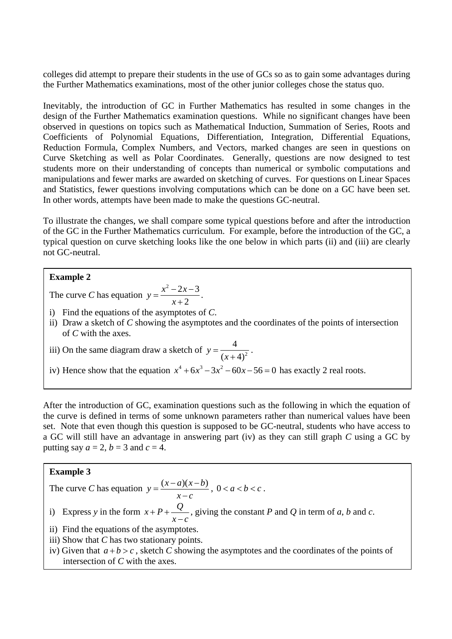colleges did attempt to prepare their students in the use of GCs so as to gain some advantages during the Further Mathematics examinations, most of the other junior colleges chose the status quo.

Inevitably, the introduction of GC in Further Mathematics has resulted in some changes in the design of the Further Mathematics examination questions. While no significant changes have been observed in questions on topics such as Mathematical Induction, Summation of Series, Roots and Coefficients of Polynomial Equations, Differentiation, Integration, Differential Equations, Reduction Formula, Complex Numbers, and Vectors, marked changes are seen in questions on Curve Sketching as well as Polar Coordinates. Generally, questions are now designed to test students more on their understanding of concepts than numerical or symbolic computations and manipulations and fewer marks are awarded on sketching of curves. For questions on Linear Spaces and Statistics, fewer questions involving computations which can be done on a GC have been set. In other words, attempts have been made to make the questions GC-neutral.

To illustrate the changes, we shall compare some typical questions before and after the introduction of the GC in the Further Mathematics curriculum. For example, before the introduction of the GC, a typical question on curve sketching looks like the one below in which parts (ii) and (iii) are clearly not GC-neutral.

## **Example 2**

The curve *C* has equation  $y = \frac{x^2 - 2x - 3}{2}$ 2  $y = \frac{x^2 - 2x}{x}$  $=\frac{x^2-2x-3}{x+2}$ .

- i) Find the equations of the asymptotes of *C*.
- ii) Draw a sketch of *C* showing the asymptotes and the coordinates of the points of intersection of *C* with the axes.

iii) On the same diagram draw a sketch of  $y = \frac{4}{(x+4)^2}$ .

iv) Hence show that the equation  $x^4 + 6x^3 - 3x^2 - 60x - 56 = 0$  has exactly 2 real roots.

After the introduction of GC, examination questions such as the following in which the equation of the curve is defined in terms of some unknown parameters rather than numerical values have been set. Note that even though this question is supposed to be GC-neutral, students who have access to a GC will still have an advantage in answering part (iv) as they can still graph *C* using a GC by putting say  $a = 2$ ,  $b = 3$  and  $c = 4$ .

## **Example 3**

The curve C has equation 
$$
y = \frac{(x-a)(x-b)}{x-c}
$$
,  $0 < a < b < c$ .

i) Express *y* in the form  $x + P + Q$  $P + P + \frac{Q}{x - c}$ , giving the constant *P* and *Q* in term of *a*, *b* and *c*.

- ii) Find the equations of the asymptotes.
- iii) Show that *C* has two stationary points.
- iv) Given that  $a + b > c$ , sketch *C* showing the asymptotes and the coordinates of the points of intersection of *C* with the axes.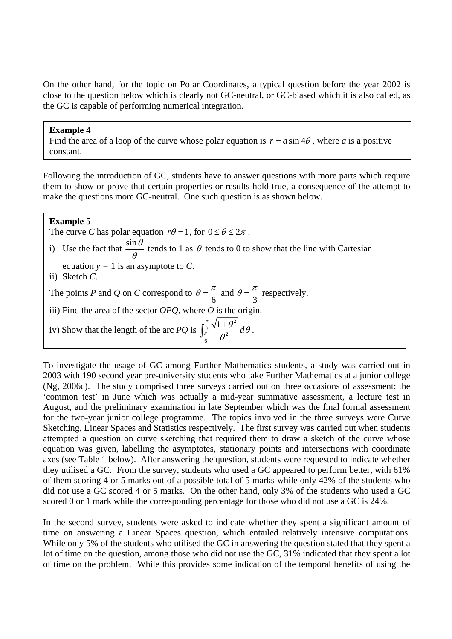On the other hand, for the topic on Polar Coordinates, a typical question before the year 2002 is close to the question below which is clearly not GC-neutral, or GC-biased which it is also called, as the GC is capable of performing numerical integration.

#### **Example 4**

Find the area of a loop of the curve whose polar equation is  $r = a \sin 4\theta$ , where *a* is a positive constant.

Following the introduction of GC, students have to answer questions with more parts which require them to show or prove that certain properties or results hold true, a consequence of the attempt to make the questions more GC-neutral. One such question is as shown below.

## **Example 5**

The curve *C* has polar equation  $r\theta = 1$ , for  $0 \le \theta \le 2\pi$ .

- i) Use the fact that  $\frac{\sin \theta}{\theta}$  tends to 1 as  $\theta$  tends to 0 to show that the line with Cartesian
- equation  $y = 1$  is an asymptote to *C*.
- ii) Sketch *C*.

The points *P* and *Q* on *C* correspond to  $\theta = \frac{\pi}{2}$  and  $\theta = \frac{\pi}{4}$  and  $\theta = \frac{\pi}{6}$  respectively.

 $6 \t 3$ iii) Find the area of the sector *OPQ*, where *O* is the origin.

iv) Show that the length of the arc PQ is 
$$
\int_{\frac{\pi}{6}}^{\frac{\pi}{3}} \frac{\sqrt{1+\theta^2}}{\theta^2} d\theta
$$
.

To investigate the usage of GC among Further Mathematics students, a study was carried out in 2003 with 190 second year pre-university students who take Further Mathematics at a junior college (Ng, 2006c). The study comprised three surveys carried out on three occasions of assessment: the 'common test' in June which was actually a mid-year summative assessment, a lecture test in August, and the preliminary examination in late September which was the final formal assessment for the two-year junior college programme. The topics involved in the three surveys were Curve Sketching, Linear Spaces and Statistics respectively. The first survey was carried out when students attempted a question on curve sketching that required them to draw a sketch of the curve whose equation was given, labelling the asymptotes, stationary points and intersections with coordinate axes (see Table 1 below). After answering the question, students were requested to indicate whether they utilised a GC. From the survey, students who used a GC appeared to perform better, with 61% of them scoring 4 or 5 marks out of a possible total of 5 marks while only 42% of the students who did not use a GC scored 4 or 5 marks. On the other hand, only 3% of the students who used a GC scored 0 or 1 mark while the corresponding percentage for those who did not use a GC is 24%.

In the second survey, students were asked to indicate whether they spent a significant amount of time on answering a Linear Spaces question, which entailed relatively intensive computations. While only 5% of the students who utilised the GC in answering the question stated that they spent a lot of time on the question, among those who did not use the GC, 31% indicated that they spent a lot of time on the problem. While this provides some indication of the temporal benefits of using the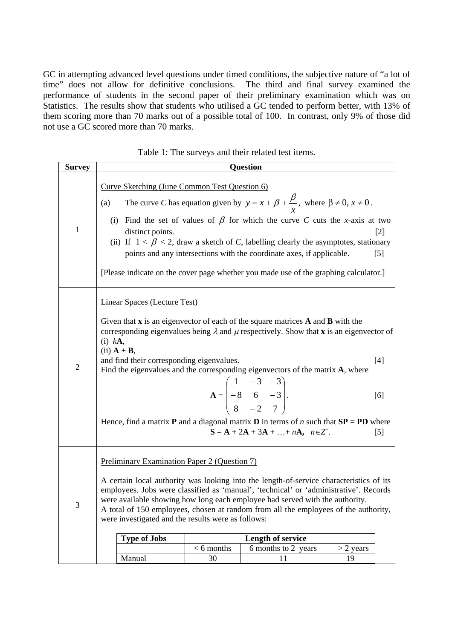GC in attempting advanced level questions under timed conditions, the subjective nature of "a lot of time" does not allow for definitive conclusions. The third and final survey examined the performance of students in the second paper of their preliminary examination which was on Statistics. The results show that students who utilised a GC tended to perform better, with 13% of them scoring more than 70 marks out of a possible total of 100. In contrast, only 9% of those did not use a GC scored more than 70 marks.

| <b>Survey</b>  | <b>Question</b>                                                                                                                                                                                                                                                                                                                                                                                                                                                                                                                                                                                                                                                              |  |  |  |  |  |  |
|----------------|------------------------------------------------------------------------------------------------------------------------------------------------------------------------------------------------------------------------------------------------------------------------------------------------------------------------------------------------------------------------------------------------------------------------------------------------------------------------------------------------------------------------------------------------------------------------------------------------------------------------------------------------------------------------------|--|--|--|--|--|--|
| $\mathbf{1}$   | Curve Sketching (June Common Test Question 6)<br>The curve C has equation given by $y = x + \beta + \frac{\beta}{x}$ , where $\beta \neq 0$ , $x \neq 0$ .<br>(a)<br>(i) Find the set of values of $\beta$ for which the curve C cuts the x-axis at two<br>distinct points.<br>$[2]$<br>(ii) If $1 < \beta < 2$ , draw a sketch of C, labelling clearly the asymptotes, stationary<br>points and any intersections with the coordinate axes, if applicable.<br>$[5]$<br>[Please indicate on the cover page whether you made use of the graphing calculator.]                                                                                                                 |  |  |  |  |  |  |
| $\overline{2}$ | <b>Linear Spaces (Lecture Test)</b><br>Given that $x$ is an eigenvector of each of the square matrices $A$ and $B$ with the<br>corresponding eigenvalues being $\lambda$ and $\mu$ respectively. Show that <b>x</b> is an eigenvector of<br>$(i)$ kA,<br>$(ii)$ $A + B$ ,<br>and find their corresponding eigenvalues.<br>$[4]$<br>Find the eigenvalues and the corresponding eigenvectors of the matrix A, where<br>$A = \begin{bmatrix} 1 & -3 & -3 \\ -8 & 6 & -3 \\ 8 & -2 & 7 \end{bmatrix}.$<br>[6]<br>Hence, find a matrix <b>P</b> and a diagonal matrix <b>D</b> in terms of <i>n</i> such that $SP = PD$ where<br>$S = A + 2A + 3A +  + nA, n \in Z^{+}.$<br>$[5]$ |  |  |  |  |  |  |
| 3              | <b>Preliminary Examination Paper 2 (Question 7)</b><br>A certain local authority was looking into the length-of-service characteristics of its<br>employees. Jobs were classified as 'manual', 'technical' or 'administrative'. Records<br>were available showing how long each employee had served with the authority.<br>A total of 150 employees, chosen at random from all the employees of the authority,<br>were investigated and the results were as follows:<br><b>Type of Jobs</b><br><b>Length of service</b><br>$< 6$ months<br>6 months to 2 years<br>$>$ 2 years<br>30<br>Manual<br>11<br>19                                                                    |  |  |  |  |  |  |

Table 1: The surveys and their related test items.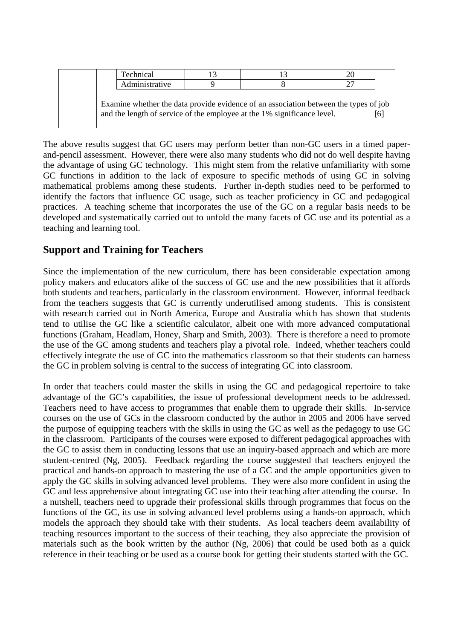| Technical                                                                                |  |  |  |  |  |  |
|------------------------------------------------------------------------------------------|--|--|--|--|--|--|
| Administrative                                                                           |  |  |  |  |  |  |
|                                                                                          |  |  |  |  |  |  |
| Examine whether the data provide evidence of an association between the types of job     |  |  |  |  |  |  |
| and the length of service of the employee at the 1% significance level.<br><sup>61</sup> |  |  |  |  |  |  |

The above results suggest that GC users may perform better than non-GC users in a timed paperand-pencil assessment. However, there were also many students who did not do well despite having the advantage of using GC technology. This might stem from the relative unfamiliarity with some GC functions in addition to the lack of exposure to specific methods of using GC in solving mathematical problems among these students. Further in-depth studies need to be performed to identify the factors that influence GC usage, such as teacher proficiency in GC and pedagogical practices. A teaching scheme that incorporates the use of the GC on a regular basis needs to be developed and systematically carried out to unfold the many facets of GC use and its potential as a teaching and learning tool.

# **Support and Training for Teachers**

Since the implementation of the new curriculum, there has been considerable expectation among policy makers and educators alike of the success of GC use and the new possibilities that it affords both students and teachers, particularly in the classroom environment. However, informal feedback from the teachers suggests that GC is currently underutilised among students. This is consistent with research carried out in North America, Europe and Australia which has shown that students tend to utilise the GC like a scientific calculator, albeit one with more advanced computational functions (Graham, Headlam, Honey, Sharp and Smith, 2003). There is therefore a need to promote the use of the GC among students and teachers play a pivotal role. Indeed, whether teachers could effectively integrate the use of GC into the mathematics classroom so that their students can harness the GC in problem solving is central to the success of integrating GC into classroom.

In order that teachers could master the skills in using the GC and pedagogical repertoire to take advantage of the GC's capabilities, the issue of professional development needs to be addressed. Teachers need to have access to programmes that enable them to upgrade their skills. In-service courses on the use of GCs in the classroom conducted by the author in 2005 and 2006 have served the purpose of equipping teachers with the skills in using the GC as well as the pedagogy to use GC in the classroom. Participants of the courses were exposed to different pedagogical approaches with the GC to assist them in conducting lessons that use an inquiry-based approach and which are more student-centred (Ng, 2005). Feedback regarding the course suggested that teachers enjoyed the practical and hands-on approach to mastering the use of a GC and the ample opportunities given to apply the GC skills in solving advanced level problems. They were also more confident in using the GC and less apprehensive about integrating GC use into their teaching after attending the course. In a nutshell, teachers need to upgrade their professional skills through programmes that focus on the functions of the GC, its use in solving advanced level problems using a hands-on approach, which models the approach they should take with their students. As local teachers deem availability of teaching resources important to the success of their teaching, they also appreciate the provision of materials such as the book written by the author (Ng, 2006) that could be used both as a quick reference in their teaching or be used as a course book for getting their students started with the GC.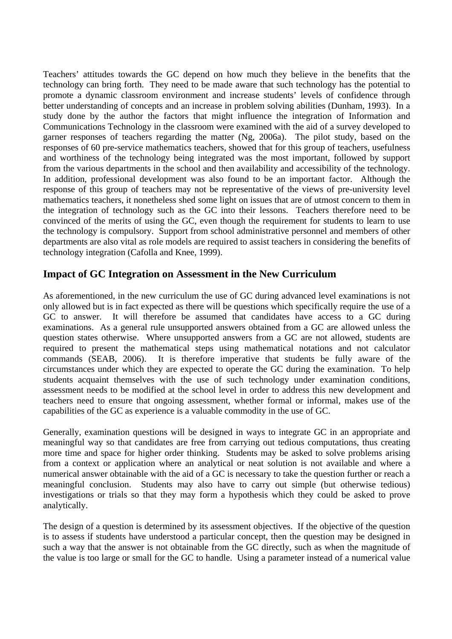Teachers' attitudes towards the GC depend on how much they believe in the benefits that the technology can bring forth. They need to be made aware that such technology has the potential to promote a dynamic classroom environment and increase students' levels of confidence through better understanding of concepts and an increase in problem solving abilities (Dunham, 1993). In a study done by the author the factors that might influence the integration of Information and Communications Technology in the classroom were examined with the aid of a survey developed to garner responses of teachers regarding the matter (Ng, 2006a). The pilot study, based on the responses of 60 pre-service mathematics teachers, showed that for this group of teachers, usefulness and worthiness of the technology being integrated was the most important, followed by support from the various departments in the school and then availability and accessibility of the technology. In addition, professional development was also found to be an important factor. Although the response of this group of teachers may not be representative of the views of pre-university level mathematics teachers, it nonetheless shed some light on issues that are of utmost concern to them in the integration of technology such as the GC into their lessons. Teachers therefore need to be convinced of the merits of using the GC, even though the requirement for students to learn to use the technology is compulsory. Support from school administrative personnel and members of other departments are also vital as role models are required to assist teachers in considering the benefits of technology integration (Cafolla and Knee, 1999).

# **Impact of GC Integration on Assessment in the New Curriculum**

As aforementioned, in the new curriculum the use of GC during advanced level examinations is not only allowed but is in fact expected as there will be questions which specifically require the use of a GC to answer. It will therefore be assumed that candidates have access to a GC during examinations. As a general rule unsupported answers obtained from a GC are allowed unless the question states otherwise. Where unsupported answers from a GC are not allowed, students are required to present the mathematical steps using mathematical notations and not calculator commands (SEAB, 2006). It is therefore imperative that students be fully aware of the circumstances under which they are expected to operate the GC during the examination. To help students acquaint themselves with the use of such technology under examination conditions, assessment needs to be modified at the school level in order to address this new development and teachers need to ensure that ongoing assessment, whether formal or informal, makes use of the capabilities of the GC as experience is a valuable commodity in the use of GC.

Generally, examination questions will be designed in ways to integrate GC in an appropriate and meaningful way so that candidates are free from carrying out tedious computations, thus creating more time and space for higher order thinking. Students may be asked to solve problems arising from a context or application where an analytical or neat solution is not available and where a numerical answer obtainable with the aid of a GC is necessary to take the question further or reach a meaningful conclusion. Students may also have to carry out simple (but otherwise tedious) investigations or trials so that they may form a hypothesis which they could be asked to prove analytically.

The design of a question is determined by its assessment objectives. If the objective of the question is to assess if students have understood a particular concept, then the question may be designed in such a way that the answer is not obtainable from the GC directly, such as when the magnitude of the value is too large or small for the GC to handle. Using a parameter instead of a numerical value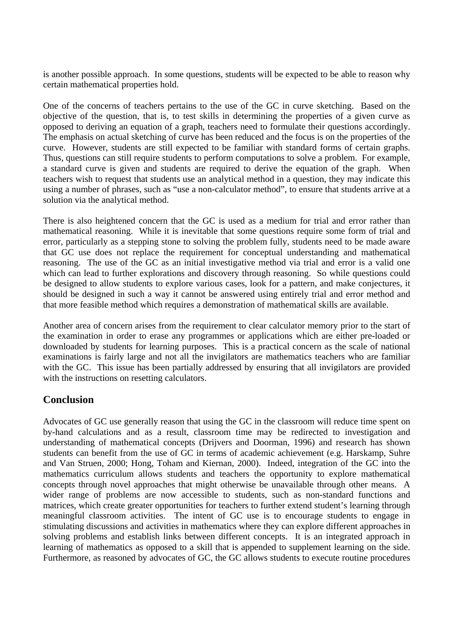is another possible approach. In some questions, students will be expected to be able to reason why certain mathematical properties hold.

One of the concerns of teachers pertains to the use of the GC in curve sketching. Based on the objective of the question, that is, to test skills in determining the properties of a given curve as opposed to deriving an equation of a graph, teachers need to formulate their questions accordingly. The emphasis on actual sketching of curve has been reduced and the focus is on the properties of the curve. However, students are still expected to be familiar with standard forms of certain graphs. Thus, questions can still require students to perform computations to solve a problem. For example, a standard curve is given and students are required to derive the equation of the graph. When teachers wish to request that students use an analytical method in a question, they may indicate this using a number of phrases, such as "use a non-calculator method", to ensure that students arrive at a solution via the analytical method.

There is also heightened concern that the GC is used as a medium for trial and error rather than mathematical reasoning. While it is inevitable that some questions require some form of trial and error, particularly as a stepping stone to solving the problem fully, students need to be made aware that GC use does not replace the requirement for conceptual understanding and mathematical reasoning. The use of the GC as an initial investigative method via trial and error is a valid one which can lead to further explorations and discovery through reasoning. So while questions could be designed to allow students to explore various cases, look for a pattern, and make conjectures, it should be designed in such a way it cannot be answered using entirely trial and error method and that more feasible method which requires a demonstration of mathematical skills are available.

Another area of concern arises from the requirement to clear calculator memory prior to the start of the examination in order to erase any programmes or applications which are either pre-loaded or downloaded by students for learning purposes. This is a practical concern as the scale of national examinations is fairly large and not all the invigilators are mathematics teachers who are familiar with the GC. This issue has been partially addressed by ensuring that all invigilators are provided with the instructions on resetting calculators.

# **Conclusion**

Advocates of GC use generally reason that using the GC in the classroom will reduce time spent on by-hand calculations and as a result, classroom time may be redirected to investigation and understanding of mathematical concepts (Drijvers and Doorman, 1996) and research has shown students can benefit from the use of GC in terms of academic achievement (e.g. Harskamp, Suhre and Van Struen, 2000; Hong, Toham and Kiernan, 2000). Indeed, integration of the GC into the mathematics curriculum allows students and teachers the opportunity to explore mathematical concepts through novel approaches that might otherwise be unavailable through other means. A wider range of problems are now accessible to students, such as non-standard functions and matrices, which create greater opportunities for teachers to further extend student's learning through meaningful classroom activities. The intent of GC use is to encourage students to engage in stimulating discussions and activities in mathematics where they can explore different approaches in solving problems and establish links between different concepts. It is an integrated approach in learning of mathematics as opposed to a skill that is appended to supplement learning on the side. Furthermore, as reasoned by advocates of GC, the GC allows students to execute routine procedures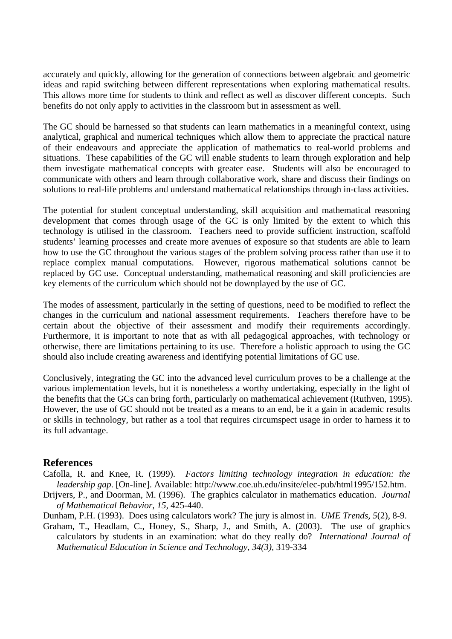accurately and quickly, allowing for the generation of connections between algebraic and geometric ideas and rapid switching between different representations when exploring mathematical results. This allows more time for students to think and reflect as well as discover different concepts. Such benefits do not only apply to activities in the classroom but in assessment as well.

The GC should be harnessed so that students can learn mathematics in a meaningful context, using analytical, graphical and numerical techniques which allow them to appreciate the practical nature of their endeavours and appreciate the application of mathematics to real-world problems and situations. These capabilities of the GC will enable students to learn through exploration and help them investigate mathematical concepts with greater ease. Students will also be encouraged to communicate with others and learn through collaborative work, share and discuss their findings on solutions to real-life problems and understand mathematical relationships through in-class activities.

The potential for student conceptual understanding, skill acquisition and mathematical reasoning development that comes through usage of the GC is only limited by the extent to which this technology is utilised in the classroom. Teachers need to provide sufficient instruction, scaffold students' learning processes and create more avenues of exposure so that students are able to learn how to use the GC throughout the various stages of the problem solving process rather than use it to replace complex manual computations. However, rigorous mathematical solutions cannot be replaced by GC use. Conceptual understanding, mathematical reasoning and skill proficiencies are key elements of the curriculum which should not be downplayed by the use of GC.

The modes of assessment, particularly in the setting of questions, need to be modified to reflect the changes in the curriculum and national assessment requirements. Teachers therefore have to be certain about the objective of their assessment and modify their requirements accordingly. Furthermore, it is important to note that as with all pedagogical approaches, with technology or otherwise, there are limitations pertaining to its use. Therefore a holistic approach to using the GC should also include creating awareness and identifying potential limitations of GC use.

Conclusively, integrating the GC into the advanced level curriculum proves to be a challenge at the various implementation levels, but it is nonetheless a worthy undertaking, especially in the light of the benefits that the GCs can bring forth, particularly on mathematical achievement (Ruthven, 1995). However, the use of GC should not be treated as a means to an end, be it a gain in academic results or skills in technology, but rather as a tool that requires circumspect usage in order to harness it to its full advantage.

## **References**

- Cafolla, R. and Knee, R. (1999). *Factors limiting technology integration in education: the leadership gap*. [On-line]. Available: http://www.coe.uh.edu/insite/elec-pub/html1995/152.htm.
- Drijvers, P., and Doorman, M. (1996). The graphics calculator in mathematics education. *Journal of Mathematical Behavior, 15,* 425-440.
- Dunham, P.H. (1993). Does using calculators work? The jury is almost in. *UME Trends, 5*(2), 8-9.
- Graham, T., Headlam, C., Honey, S., Sharp, J., and Smith, A. (2003). The use of graphics calculators by students in an examination: what do they really do? *International Journal of Mathematical Education in Science and Technology, 34(3),* 319-334